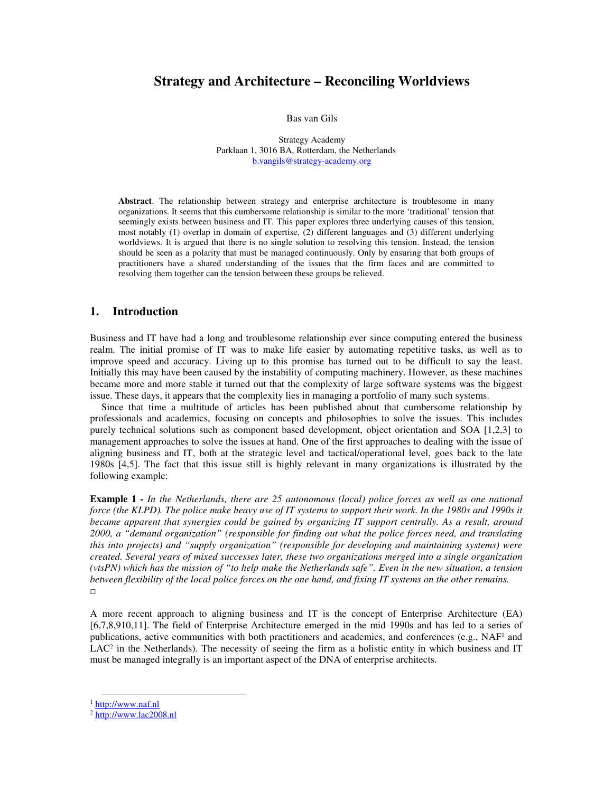# **Strategy and Architecture – Reconciling Worldviews**

Bas van Gils

Strategy Academy Parklaan 1, 3016 BA, Rotterdam, the Netherlands b.vangils@strategy-academy.org

**Abstract**. The relationship between strategy and enterprise architecture is troublesome in many organizations. It seems that this cumbersome relationship is similar to the more 'traditional' tension that seemingly exists between business and IT. This paper explores three underlying causes of this tension, most notably (1) overlap in domain of expertise, (2) different languages and (3) different underlying worldviews. It is argued that there is no single solution to resolving this tension. Instead, the tension should be seen as a polarity that must be managed continuously. Only by ensuring that both groups of practitioners have a shared understanding of the issues that the firm faces and are committed to resolving them together can the tension between these groups be relieved.

### **1. Introduction**

Business and IT have had a long and troublesome relationship ever since computing entered the business realm. The initial promise of IT was to make life easier by automating repetitive tasks, as well as to improve speed and accuracy. Living up to this promise has turned out to be difficult to say the least. Initially this may have been caused by the instability of computing machinery. However, as these machines became more and more stable it turned out that the complexity of large software systems was the biggest issue. These days, it appears that the complexity lies in managing a portfolio of many such systems.

Since that time a multitude of articles has been published about that cumbersome relationship by professionals and academics, focusing on concepts and philosophies to solve the issues. This includes purely technical solutions such as component based development, object orientation and SOA [1,2,3] to management approaches to solve the issues at hand. One of the first approaches to dealing with the issue of aligning business and IT, both at the strategic level and tactical/operational level, goes back to the late 1980s [4,5]. The fact that this issue still is highly relevant in many organizations is illustrated by the following example:

**Example 1 -** *In the Netherlands, there are 25 autonomous (local) police forces as well as one national force (the KLPD). The police make heavy use of IT systems to support their work. In the 1980s and 1990s it became apparent that synergies could be gained by organizing IT support centrally. As a result, around 2000, a "demand organization" (responsible for finding out what the police forces need, and translating this into projects) and "supply organization" (responsible for developing and maintaining systems) were created. Several years of mixed successes later, these two organizations merged into a single organization (vtsPN) which has the mission of "to help make the Netherlands safe". Even in the new situation, a tension between flexibility of the local police forces on the one hand, and fixing IT systems on the other remains.*  □

A more recent approach to aligning business and IT is the concept of Enterprise Architecture (EA) [6,7,8,910,11]. The field of Enterprise Architecture emerged in the mid 1990s and has led to a series of publications, active communities with both practitioners and academics, and conferences (e.g., NAF<sup>1</sup> and LAC<sup>2</sup> in the Netherlands). The necessity of seeing the firm as a holistic entity in which business and IT must be managed integrally is an important aspect of the DNA of enterprise architects.

j

<sup>&</sup>lt;sup>1</sup> http://www.naf.nl

 $2$  http://www.lac2008.nl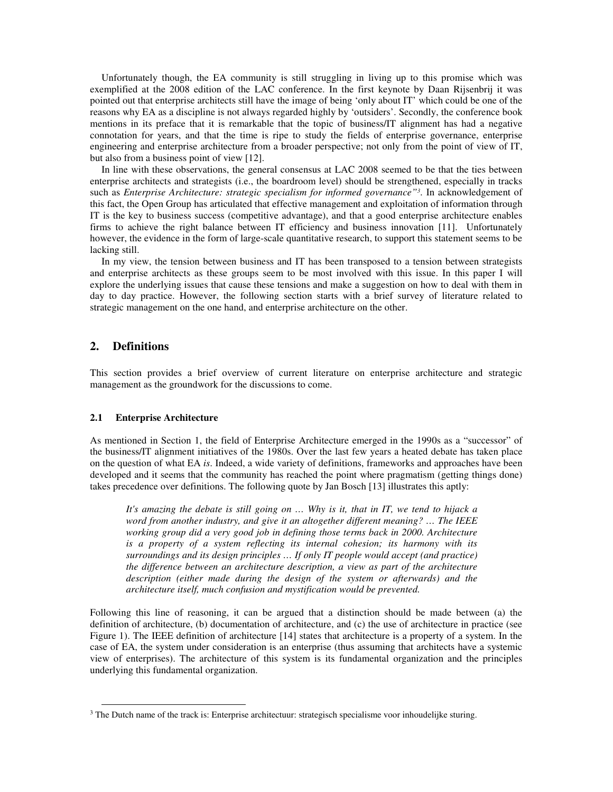Unfortunately though, the EA community is still struggling in living up to this promise which was exemplified at the 2008 edition of the LAC conference. In the first keynote by Daan Rijsenbrij it was pointed out that enterprise architects still have the image of being 'only about IT' which could be one of the reasons why EA as a discipline is not always regarded highly by 'outsiders'. Secondly, the conference book mentions in its preface that it is remarkable that the topic of business/IT alignment has had a negative connotation for years, and that the time is ripe to study the fields of enterprise governance, enterprise engineering and enterprise architecture from a broader perspective; not only from the point of view of IT, but also from a business point of view [12].

In line with these observations, the general consensus at LAC 2008 seemed to be that the ties between enterprise architects and strategists (i.e., the boardroom level) should be strengthened, especially in tracks such as *Enterprise Architecture: strategic specialism for informed governance"<sup>3</sup>* . In acknowledgement of this fact, the Open Group has articulated that effective management and exploitation of information through IT is the key to business success (competitive advantage), and that a good enterprise architecture enables firms to achieve the right balance between IT efficiency and business innovation [11]. Unfortunately however, the evidence in the form of large-scale quantitative research, to support this statement seems to be lacking still.

In my view, the tension between business and IT has been transposed to a tension between strategists and enterprise architects as these groups seem to be most involved with this issue. In this paper I will explore the underlying issues that cause these tensions and make a suggestion on how to deal with them in day to day practice. However, the following section starts with a brief survey of literature related to strategic management on the one hand, and enterprise architecture on the other.

## **2. Definitions**

-

This section provides a brief overview of current literature on enterprise architecture and strategic management as the groundwork for the discussions to come.

#### **2.1 Enterprise Architecture**

As mentioned in Section 1, the field of Enterprise Architecture emerged in the 1990s as a "successor" of the business/IT alignment initiatives of the 1980s. Over the last few years a heated debate has taken place on the question of what EA *is*. Indeed, a wide variety of definitions, frameworks and approaches have been developed and it seems that the community has reached the point where pragmatism (getting things done) takes precedence over definitions. The following quote by Jan Bosch [13] illustrates this aptly:

*It's amazing the debate is still going on … Why is it, that in IT, we tend to hijack a word from another industry, and give it an altogether different meaning? … The IEEE working group did a very good job in defining those terms back in 2000. Architecture is a property of a system reflecting its internal cohesion; its harmony with its surroundings and its design principles … If only IT people would accept (and practice) the difference between an architecture description, a view as part of the architecture description (either made during the design of the system or afterwards) and the architecture itself, much confusion and mystification would be prevented.* 

Following this line of reasoning, it can be argued that a distinction should be made between (a) the definition of architecture, (b) documentation of architecture, and (c) the use of architecture in practice (see Figure 1). The IEEE definition of architecture [14] states that architecture is a property of a system. In the case of EA, the system under consideration is an enterprise (thus assuming that architects have a systemic view of enterprises). The architecture of this system is its fundamental organization and the principles underlying this fundamental organization.

<sup>&</sup>lt;sup>3</sup> The Dutch name of the track is: Enterprise architectuur: strategisch specialisme voor inhoudelijke sturing.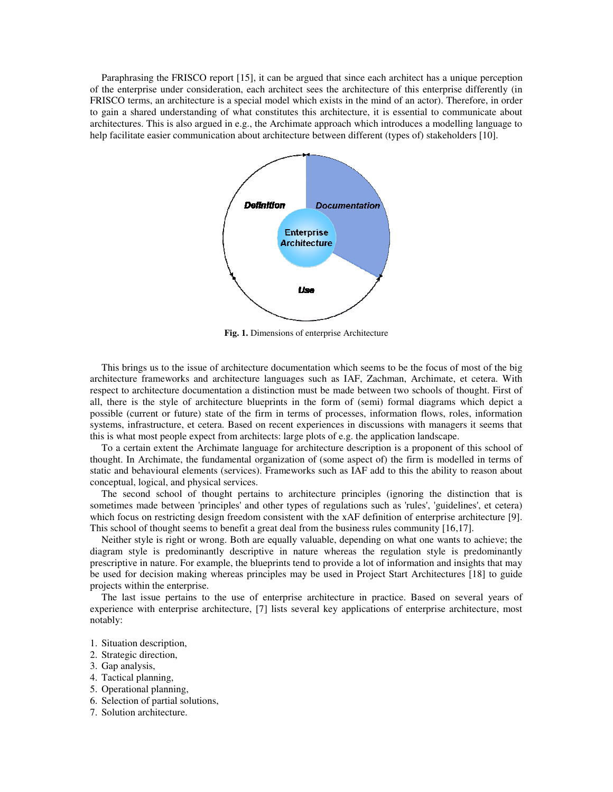Paraphrasing the FRISCO report [15], it can be argued that since each architect has a unique perception of the enterprise under consideration, each architect sees the architecture of this enterprise differently (in FRISCO terms, an architecture is a special model which exists in the mind of an actor). Therefore, in order to gain a shared understanding of what constitutes this architecture, it is essential to communicate about architectures. This is also argued in e.g., the Archimate approach which introduces a modelling language to help facilitate easier communication about architecture between different (types of) stakeholders [10].



**Fig. 1.** Dimensions of enterprise Architecture

This brings us to the issue of architecture documentation which seems to be the focus of most of the big architecture frameworks and architecture languages such as IAF, Zachman, Archimate, et cetera. With respect to architecture documentation a distinction must be made between two schools of thought. First of all, there is the style of architecture blueprints in the form of (semi) formal diagrams which depict a possible (current or future) state of the firm in terms of processes, information flows, roles, information systems, infrastructure, et cetera. Based on recent experiences in discussions with managers it seems that this is what most people expect from architects: large plots of e.g. the application landscape.

To a certain extent the Archimate language for architecture description is a proponent of this school of thought. In Archimate, the fundamental organization of (some aspect of) the firm is modelled in terms of static and behavioural elements (services). Frameworks such as IAF add to this the ability to reason about conceptual, logical, and physical services.

The second school of thought pertains to architecture principles (ignoring the distinction that is sometimes made between 'principles' and other types of regulations such as 'rules', 'guidelines', et cetera) which focus on restricting design freedom consistent with the xAF definition of enterprise architecture [9]. This school of thought seems to benefit a great deal from the business rules community [16,17].

Neither style is right or wrong. Both are equally valuable, depending on what one wants to achieve; the diagram style is predominantly descriptive in nature whereas the regulation style is predominantly prescriptive in nature. For example, the blueprints tend to provide a lot of information and insights that may be used for decision making whereas principles may be used in Project Start Architectures [18] to guide projects within the enterprise.

The last issue pertains to the use of enterprise architecture in practice. Based on several years of experience with enterprise architecture, [7] lists several key applications of enterprise architecture, most notably:

- 1. Situation description,
- 2. Strategic direction,
- 3. Gap analysis,
- 4. Tactical planning,
- 5. Operational planning,
- 6. Selection of partial solutions,
- 7. Solution architecture.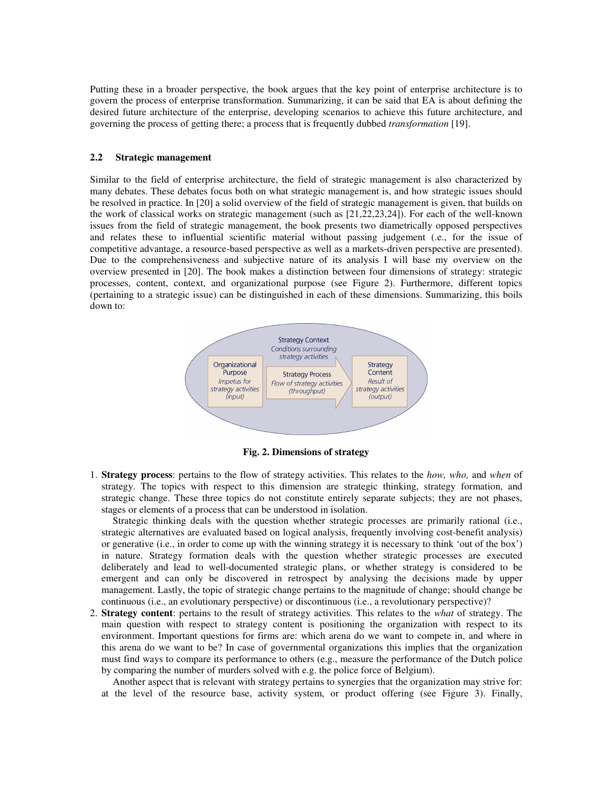Putting these in a broader perspective, the book argues that the key point of enterprise architecture is to govern the process of enterprise transformation. Summarizing, it can be said that EA is about defining the desired future architecture of the enterprise, developing scenarios to achieve this future architecture, and governing the process of getting there; a process that is frequently dubbed *transformation* [19].

#### **2.2 Strategic management**

Similar to the field of enterprise architecture, the field of strategic management is also characterized by many debates. These debates focus both on what strategic management is, and how strategic issues should be resolved in practice. In [20] a solid overview of the field of strategic management is given, that builds on the work of classical works on strategic management (such as [21,22,23,24]). For each of the well-known issues from the field of strategic management, the book presents two diametrically opposed perspectives and relates these to influential scientific material without passing judgement (.e., for the issue of competitive advantage, a resource-based perspective as well as a markets-driven perspective are presented). Due to the comprehensiveness and subjective nature of its analysis I will base my overview on the overview presented in [20]. The book makes a distinction between four dimensions of strategy: strategic processes, content, context, and organizational purpose (see Figure 2). Furthermore, different topics (pertaining to a strategic issue) can be distinguished in each of these dimensions. Summarizing, this boils down to:



**Fig. 2. Dimensions of strategy**

1. **Strategy process**: pertains to the flow of strategy activities. This relates to the *how, who,* and *when* of strategy. The topics with respect to this dimension are strategic thinking, strategy formation, and strategic change. These three topics do not constitute entirely separate subjects; they are not phases, stages or elements of a process that can be understood in isolation.

Strategic thinking deals with the question whether strategic processes are primarily rational (i.e., strategic alternatives are evaluated based on logical analysis, frequently involving cost-benefit analysis) or generative (i.e., in order to come up with the winning strategy it is necessary to think 'out of the box') in nature. Strategy formation deals with the question whether strategic processes are executed deliberately and lead to well-documented strategic plans, or whether strategy is considered to be emergent and can only be discovered in retrospect by analysing the decisions made by upper management. Lastly, the topic of strategic change pertains to the magnitude of change; should change be continuous (i.e., an evolutionary perspective) or discontinuous (i.e., a revolutionary perspective)?

2. **Strategy content**: pertains to the result of strategy activities. This relates to the *what* of strategy. The main question with respect to strategy content is positioning the organization with respect to its environment. Important questions for firms are: which arena do we want to compete in, and where in this arena do we want to be? In case of governmental organizations this implies that the organization must find ways to compare its performance to others (e.g., measure the performance of the Dutch police by comparing the number of murders solved with e.g. the police force of Belgium).

Another aspect that is relevant with strategy pertains to synergies that the organization may strive for: at the level of the resource base, activity system, or product offering (see Figure 3). Finally,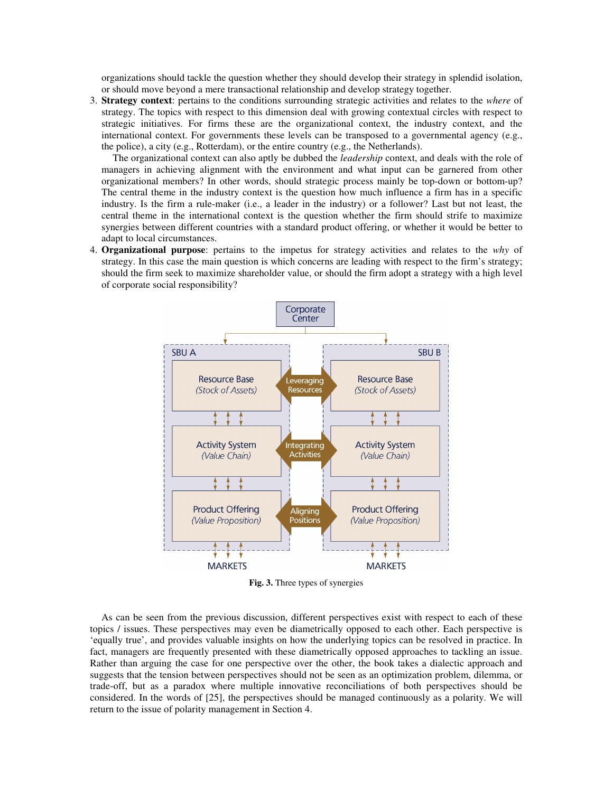organizations should tackle the question whether they should develop their strategy in splendid isolation, or should move beyond a mere transactional relationship and develop strategy together.

3. **Strategy context**: pertains to the conditions surrounding strategic activities and relates to the *where* of strategy. The topics with respect to this dimension deal with growing contextual circles with respect to strategic initiatives. For firms these are the organizational context, the industry context, and the international context. For governments these levels can be transposed to a governmental agency (e.g., the police), a city (e.g., Rotterdam), or the entire country (e.g., the Netherlands).

The organizational context can also aptly be dubbed the *leadership* context, and deals with the role of managers in achieving alignment with the environment and what input can be garnered from other organizational members? In other words, should strategic process mainly be top-down or bottom-up? The central theme in the industry context is the question how much influence a firm has in a specific industry. Is the firm a rule-maker (i.e., a leader in the industry) or a follower? Last but not least, the central theme in the international context is the question whether the firm should strife to maximize synergies between different countries with a standard product offering, or whether it would be better to adapt to local circumstances.

4. **Organizational purpose**: pertains to the impetus for strategy activities and relates to the *why* of strategy. In this case the main question is which concerns are leading with respect to the firm's strategy; should the firm seek to maximize shareholder value, or should the firm adopt a strategy with a high level of corporate social responsibility?



**Fig. 3.** Three types of synergies

As can be seen from the previous discussion, different perspectives exist with respect to each of these topics / issues. These perspectives may even be diametrically opposed to each other. Each perspective is 'equally true', and provides valuable insights on how the underlying topics can be resolved in practice. In fact, managers are frequently presented with these diametrically opposed approaches to tackling an issue. Rather than arguing the case for one perspective over the other, the book takes a dialectic approach and suggests that the tension between perspectives should not be seen as an optimization problem, dilemma, or trade-off, but as a paradox where multiple innovative reconciliations of both perspectives should be considered. In the words of [25], the perspectives should be managed continuously as a polarity. We will return to the issue of polarity management in Section 4.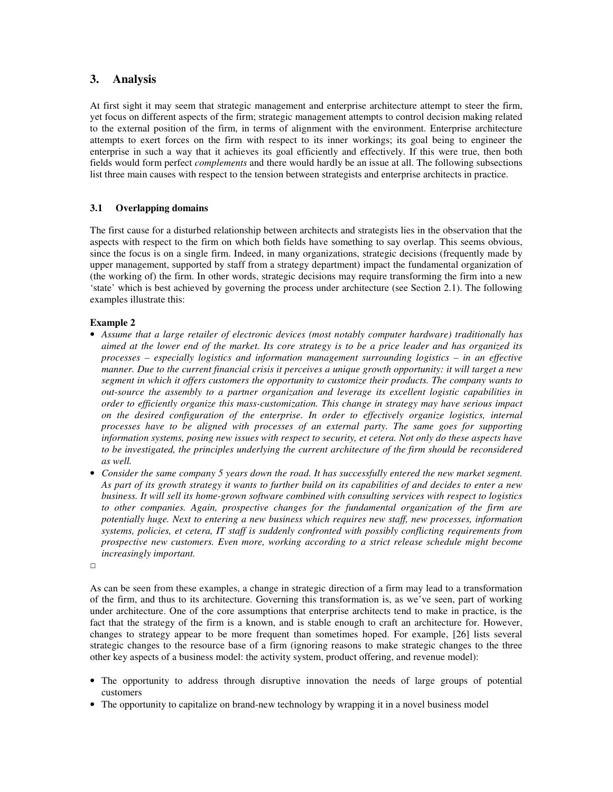# **3. Analysis**

At first sight it may seem that strategic management and enterprise architecture attempt to steer the firm, yet focus on different aspects of the firm; strategic management attempts to control decision making related to the external position of the firm, in terms of alignment with the environment. Enterprise architecture attempts to exert forces on the firm with respect to its inner workings; its goal being to engineer the enterprise in such a way that it achieves its goal efficiently and effectively. If this were true, then both fields would form perfect *complements* and there would hardly be an issue at all. The following subsections list three main causes with respect to the tension between strategists and enterprise architects in practice.

## **3.1 Overlapping domains**

The first cause for a disturbed relationship between architects and strategists lies in the observation that the aspects with respect to the firm on which both fields have something to say overlap. This seems obvious, since the focus is on a single firm. Indeed, in many organizations, strategic decisions (frequently made by upper management, supported by staff from a strategy department) impact the fundamental organization of (the working of) the firm. In other words, strategic decisions may require transforming the firm into a new 'state' which is best achieved by governing the process under architecture (see Section 2.1). The following examples illustrate this:

## **Example 2**

- *Assume that a large retailer of electronic devices (most notably computer hardware) traditionally has aimed at the lower end of the market. Its core strategy is to be a price leader and has organized its processes – especially logistics and information management surrounding logistics – in an effective manner. Due to the current financial crisis it perceives a unique growth opportunity: it will target a new segment in which it offers customers the opportunity to customize their products. The company wants to out-source the assembly to a partner organization and leverage its excellent logistic capabilities in order to efficiently organize this mass-customization. This change in strategy may have serious impact on the desired configuration of the enterprise. In order to effectively organize logistics, internal processes have to be aligned with processes of an external party. The same goes for supporting information systems, posing new issues with respect to security, et cetera. Not only do these aspects have to be investigated, the principles underlying the current architecture of the firm should be reconsidered as well.*
- *Consider the same company 5 years down the road. It has successfully entered the new market segment. As part of its growth strategy it wants to further build on its capabilities of and decides to enter a new business. It will sell its home-grown software combined with consulting services with respect to logistics to other companies. Again, prospective changes for the fundamental organization of the firm are potentially huge. Next to entering a new business which requires new staff, new processes, information systems, policies, et cetera, IT staff is suddenly confronted with possibly conflicting requirements from prospective new customers. Even more, working according to a strict release schedule might become increasingly important.*

□

As can be seen from these examples, a change in strategic direction of a firm may lead to a transformation of the firm, and thus to its architecture. Governing this transformation is, as we've seen, part of working under architecture. One of the core assumptions that enterprise architects tend to make in practice, is the fact that the strategy of the firm is a known, and is stable enough to craft an architecture for. However, changes to strategy appear to be more frequent than sometimes hoped. For example, [26] lists several strategic changes to the resource base of a firm (ignoring reasons to make strategic changes to the three other key aspects of a business model: the activity system, product offering, and revenue model):

- The opportunity to address through disruptive innovation the needs of large groups of potential customers
- The opportunity to capitalize on brand-new technology by wrapping it in a novel business model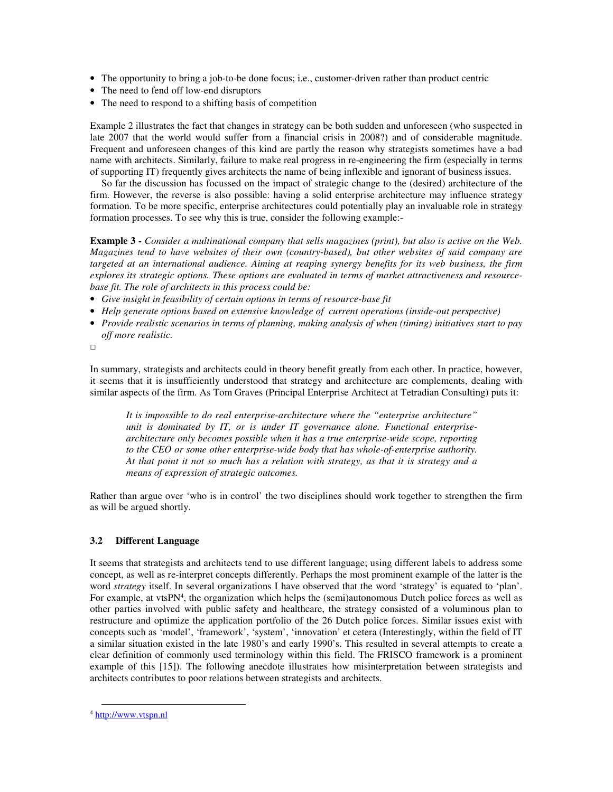- The opportunity to bring a job-to-be done focus; i.e., customer-driven rather than product centric
- The need to fend off low-end disruptors
- The need to respond to a shifting basis of competition

Example 2 illustrates the fact that changes in strategy can be both sudden and unforeseen (who suspected in late 2007 that the world would suffer from a financial crisis in 2008?) and of considerable magnitude. Frequent and unforeseen changes of this kind are partly the reason why strategists sometimes have a bad name with architects. Similarly, failure to make real progress in re-engineering the firm (especially in terms of supporting IT) frequently gives architects the name of being inflexible and ignorant of business issues.

So far the discussion has focussed on the impact of strategic change to the (desired) architecture of the firm. However, the reverse is also possible: having a solid enterprise architecture may influence strategy formation. To be more specific, enterprise architectures could potentially play an invaluable role in strategy formation processes. To see why this is true, consider the following example:-

**Example 3 -** *Consider a multinational company that sells magazines (print), but also is active on the Web. Magazines tend to have websites of their own (country-based), but other websites of said company are targeted at an international audience. Aiming at reaping synergy benefits for its web business, the firm explores its strategic options. These options are evaluated in terms of market attractiveness and resourcebase fit. The role of architects in this process could be:* 

- *Give insight in feasibility of certain options in terms of resource-base fit*
- *Help generate options based on extensive knowledge of current operations (inside-out perspective)*
- *Provide realistic scenarios in terms of planning, making analysis of when (timing) initiatives start to pay off more realistic.*
- $\Box$

In summary, strategists and architects could in theory benefit greatly from each other. In practice, however, it seems that it is insufficiently understood that strategy and architecture are complements, dealing with similar aspects of the firm. As Tom Graves (Principal Enterprise Architect at Tetradian Consulting) puts it:

*It is impossible to do real enterprise-architecture where the "enterprise architecture" unit is dominated by IT, or is under IT governance alone. Functional enterprisearchitecture only becomes possible when it has a true enterprise-wide scope, reporting to the CEO or some other enterprise-wide body that has whole-of-enterprise authority. At that point it not so much has a relation with strategy, as that it is strategy and a means of expression of strategic outcomes.*

Rather than argue over 'who is in control' the two disciplines should work together to strengthen the firm as will be argued shortly.

## **3.2 Different Language**

It seems that strategists and architects tend to use different language; using different labels to address some concept, as well as re-interpret concepts differently. Perhaps the most prominent example of the latter is the word *strategy* itself. In several organizations I have observed that the word 'strategy' is equated to 'plan'. For example, at vtsPN<sup>4</sup>, the organization which helps the (semi)autonomous Dutch police forces as well as other parties involved with public safety and healthcare, the strategy consisted of a voluminous plan to restructure and optimize the application portfolio of the 26 Dutch police forces. Similar issues exist with concepts such as 'model', 'framework', 'system', 'innovation' et cetera (Interestingly, within the field of IT a similar situation existed in the late 1980's and early 1990's. This resulted in several attempts to create a clear definition of commonly used terminology within this field. The FRISCO framework is a prominent example of this [15]). The following anecdote illustrates how misinterpretation between strategists and architects contributes to poor relations between strategists and architects.

-

<sup>4</sup> http://www.vtspn.nl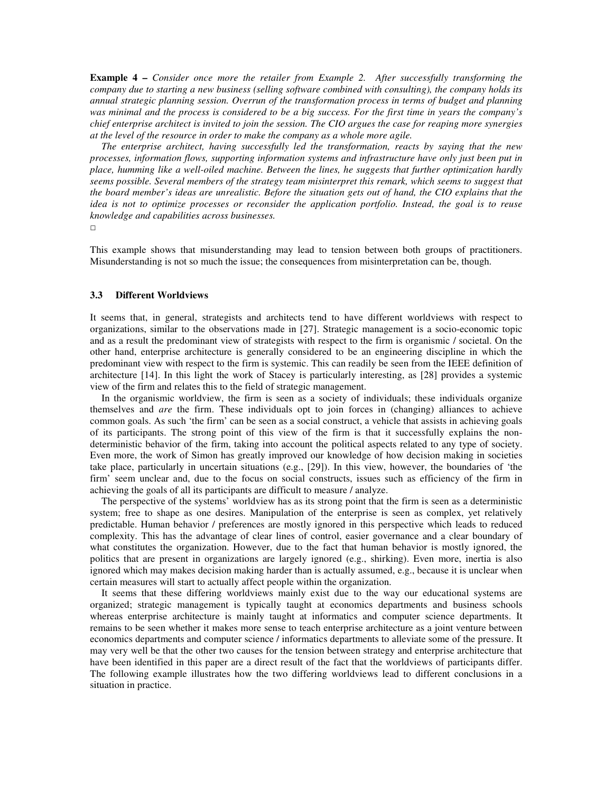**Example 4 –** *Consider once more the retailer from Example 2. After successfully transforming the company due to starting a new business (selling software combined with consulting), the company holds its annual strategic planning session. Overrun of the transformation process in terms of budget and planning was minimal and the process is considered to be a big success. For the first time in years the company's chief enterprise architect is invited to join the session. The CIO argues the case for reaping more synergies at the level of the resource in order to make the company as a whole more agile.* 

*The enterprise architect, having successfully led the transformation, reacts by saying that the new processes, information flows, supporting information systems and infrastructure have only just been put in place, humming like a well-oiled machine. Between the lines, he suggests that further optimization hardly seems possible. Several members of the strategy team misinterpret this remark, which seems to suggest that the board member's ideas are unrealistic. Before the situation gets out of hand, the CIO explains that the idea is not to optimize processes or reconsider the application portfolio. Instead, the goal is to reuse knowledge and capabilities across businesses.* 

□

This example shows that misunderstanding may lead to tension between both groups of practitioners. Misunderstanding is not so much the issue; the consequences from misinterpretation can be, though.

#### **3.3 Different Worldviews**

It seems that, in general, strategists and architects tend to have different worldviews with respect to organizations, similar to the observations made in [27]. Strategic management is a socio-economic topic and as a result the predominant view of strategists with respect to the firm is organismic / societal. On the other hand, enterprise architecture is generally considered to be an engineering discipline in which the predominant view with respect to the firm is systemic. This can readily be seen from the IEEE definition of architecture [14]. In this light the work of Stacey is particularly interesting, as [28] provides a systemic view of the firm and relates this to the field of strategic management.

In the organismic worldview, the firm is seen as a society of individuals; these individuals organize themselves and *are* the firm. These individuals opt to join forces in (changing) alliances to achieve common goals. As such 'the firm' can be seen as a social construct, a vehicle that assists in achieving goals of its participants. The strong point of this view of the firm is that it successfully explains the nondeterministic behavior of the firm, taking into account the political aspects related to any type of society. Even more, the work of Simon has greatly improved our knowledge of how decision making in societies take place, particularly in uncertain situations (e.g., [29]). In this view, however, the boundaries of 'the firm' seem unclear and, due to the focus on social constructs, issues such as efficiency of the firm in achieving the goals of all its participants are difficult to measure / analyze.

The perspective of the systems' worldview has as its strong point that the firm is seen as a deterministic system; free to shape as one desires. Manipulation of the enterprise is seen as complex, yet relatively predictable. Human behavior / preferences are mostly ignored in this perspective which leads to reduced complexity. This has the advantage of clear lines of control, easier governance and a clear boundary of what constitutes the organization. However, due to the fact that human behavior is mostly ignored, the politics that are present in organizations are largely ignored (e.g., shirking). Even more, inertia is also ignored which may makes decision making harder than is actually assumed, e.g., because it is unclear when certain measures will start to actually affect people within the organization.

It seems that these differing worldviews mainly exist due to the way our educational systems are organized; strategic management is typically taught at economics departments and business schools whereas enterprise architecture is mainly taught at informatics and computer science departments. It remains to be seen whether it makes more sense to teach enterprise architecture as a joint venture between economics departments and computer science / informatics departments to alleviate some of the pressure. It may very well be that the other two causes for the tension between strategy and enterprise architecture that have been identified in this paper are a direct result of the fact that the worldviews of participants differ. The following example illustrates how the two differing worldviews lead to different conclusions in a situation in practice.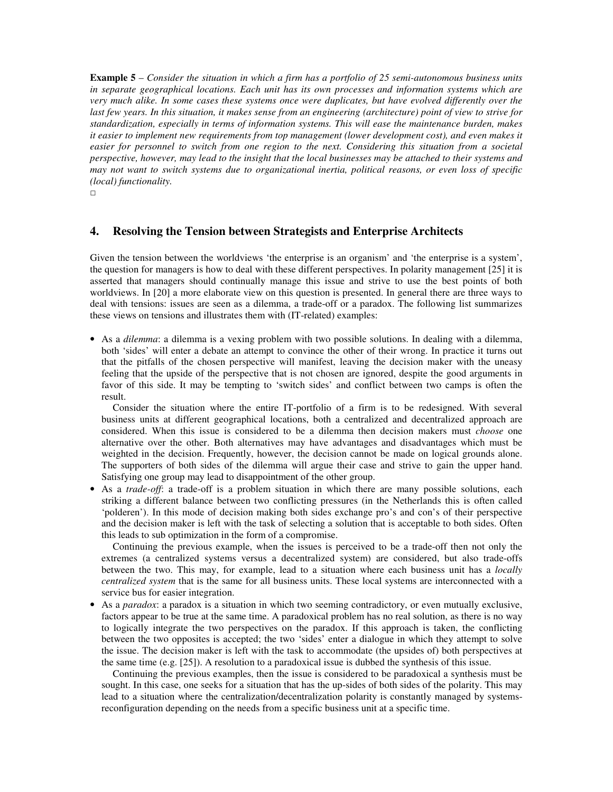**Example 5** – *Consider the situation in which a firm has a portfolio of 25 semi-autonomous business units in separate geographical locations. Each unit has its own processes and information systems which are very much alike. In some cases these systems once were duplicates, but have evolved differently over the*  last few years. In this situation, it makes sense from an engineering (architecture) point of view to strive for *standardization, especially in terms of information systems. This will ease the maintenance burden, makes it easier to implement new requirements from top management (lower development cost), and even makes it easier for personnel to switch from one region to the next. Considering this situation from a societal perspective, however, may lead to the insight that the local businesses may be attached to their systems and may not want to switch systems due to organizational inertia, political reasons, or even loss of specific (local) functionality.*

 $\Box$ 

## **4. Resolving the Tension between Strategists and Enterprise Architects**

Given the tension between the worldviews 'the enterprise is an organism' and 'the enterprise is a system', the question for managers is how to deal with these different perspectives. In polarity management [25] it is asserted that managers should continually manage this issue and strive to use the best points of both worldviews. In [20] a more elaborate view on this question is presented. In general there are three ways to deal with tensions: issues are seen as a dilemma, a trade-off or a paradox. The following list summarizes these views on tensions and illustrates them with (IT-related) examples:

• As a *dilemma*: a dilemma is a vexing problem with two possible solutions. In dealing with a dilemma, both 'sides' will enter a debate an attempt to convince the other of their wrong. In practice it turns out that the pitfalls of the chosen perspective will manifest, leaving the decision maker with the uneasy feeling that the upside of the perspective that is not chosen are ignored, despite the good arguments in favor of this side. It may be tempting to 'switch sides' and conflict between two camps is often the result.

 Consider the situation where the entire IT-portfolio of a firm is to be redesigned. With several business units at different geographical locations, both a centralized and decentralized approach are considered. When this issue is considered to be a dilemma then decision makers must *choose* one alternative over the other. Both alternatives may have advantages and disadvantages which must be weighted in the decision. Frequently, however, the decision cannot be made on logical grounds alone. The supporters of both sides of the dilemma will argue their case and strive to gain the upper hand. Satisfying one group may lead to disappointment of the other group.

• As a *trade-off*: a trade-off is a problem situation in which there are many possible solutions, each striking a different balance between two conflicting pressures (in the Netherlands this is often called 'polderen'). In this mode of decision making both sides exchange pro's and con's of their perspective and the decision maker is left with the task of selecting a solution that is acceptable to both sides. Often this leads to sub optimization in the form of a compromise.

 Continuing the previous example, when the issues is perceived to be a trade-off then not only the extremes (a centralized systems versus a decentralized system) are considered, but also trade-offs between the two. This may, for example, lead to a situation where each business unit has a *locally centralized system* that is the same for all business units. These local systems are interconnected with a service bus for easier integration.

• As a *paradox*: a paradox is a situation in which two seeming contradictory, or even mutually exclusive, factors appear to be true at the same time. A paradoxical problem has no real solution, as there is no way to logically integrate the two perspectives on the paradox. If this approach is taken, the conflicting between the two opposites is accepted; the two 'sides' enter a dialogue in which they attempt to solve the issue. The decision maker is left with the task to accommodate (the upsides of) both perspectives at the same time (e.g. [25]). A resolution to a paradoxical issue is dubbed the synthesis of this issue.

 Continuing the previous examples, then the issue is considered to be paradoxical a synthesis must be sought. In this case, one seeks for a situation that has the up-sides of both sides of the polarity. This may lead to a situation where the centralization/decentralization polarity is constantly managed by systemsreconfiguration depending on the needs from a specific business unit at a specific time.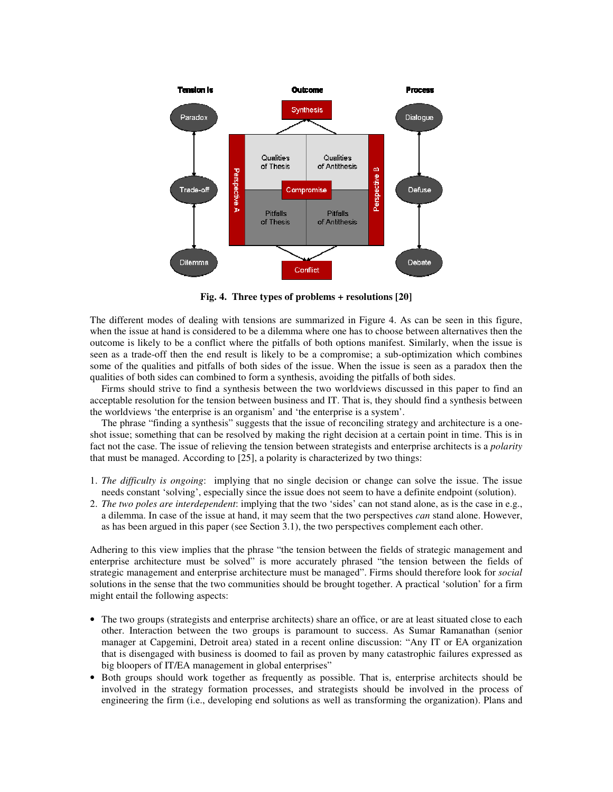

**Fig. 4. Three types of problems + resolutions [20]**

The different modes of dealing with tensions are summarized in Figure 4. As can be seen in this figure, when the issue at hand is considered to be a dilemma where one has to choose between alternatives then the outcome is likely to be a conflict where the pitfalls of both options manifest. Similarly, when the issue is seen as a trade-off then the end result is likely to be a compromise; a sub-optimization which combines some of the qualities and pitfalls of both sides of the issue. When the issue is seen as a paradox then the qualities of both sides can combined to form a synthesis, avoiding the pitfalls of both sides.

Firms should strive to find a synthesis between the two worldviews discussed in this paper to find an acceptable resolution for the tension between business and IT. That is, they should find a synthesis between the worldviews 'the enterprise is an organism' and 'the enterprise is a system'.

The phrase "finding a synthesis" suggests that the issue of reconciling strategy and architecture is a oneshot issue; something that can be resolved by making the right decision at a certain point in time. This is in fact not the case. The issue of relieving the tension between strategists and enterprise architects is a *polarity* that must be managed. According to [25], a polarity is characterized by two things:

- 1. *The difficulty is ongoing*: implying that no single decision or change can solve the issue. The issue needs constant 'solving', especially since the issue does not seem to have a definite endpoint (solution).
- 2. *The two poles are interdependent*: implying that the two 'sides' can not stand alone, as is the case in e.g., a dilemma. In case of the issue at hand, it may seem that the two perspectives *can* stand alone. However, as has been argued in this paper (see Section 3.1), the two perspectives complement each other.

Adhering to this view implies that the phrase "the tension between the fields of strategic management and enterprise architecture must be solved" is more accurately phrased "the tension between the fields of strategic management and enterprise architecture must be managed". Firms should therefore look for *social* solutions in the sense that the two communities should be brought together. A practical 'solution' for a firm might entail the following aspects:

- The two groups (strategists and enterprise architects) share an office, or are at least situated close to each other. Interaction between the two groups is paramount to success. As Sumar Ramanathan (senior manager at Capgemini, Detroit area) stated in a recent online discussion: "Any IT or EA organization that is disengaged with business is doomed to fail as proven by many catastrophic failures expressed as big bloopers of IT/EA management in global enterprises"
- Both groups should work together as frequently as possible. That is, enterprise architects should be involved in the strategy formation processes, and strategists should be involved in the process of engineering the firm (i.e., developing end solutions as well as transforming the organization). Plans and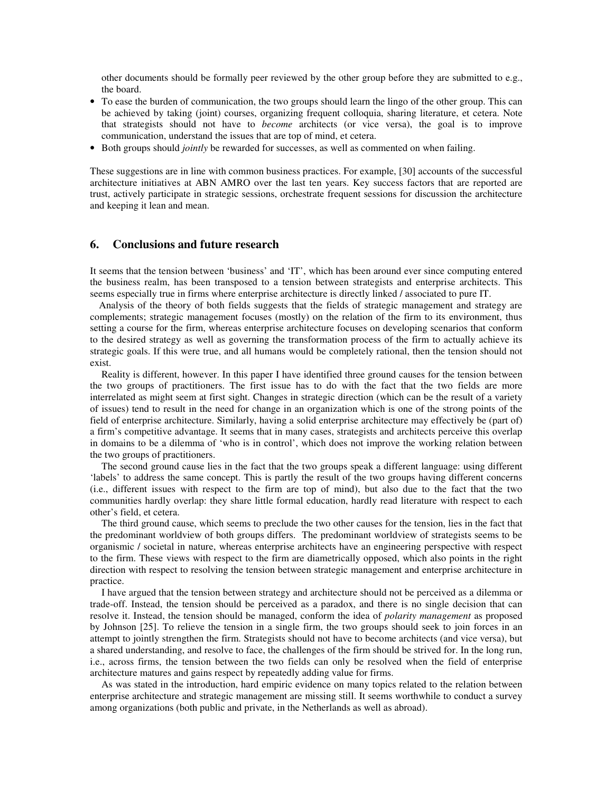other documents should be formally peer reviewed by the other group before they are submitted to e.g., the board.

- To ease the burden of communication, the two groups should learn the lingo of the other group. This can be achieved by taking (joint) courses, organizing frequent colloquia, sharing literature, et cetera. Note that strategists should not have to *become* architects (or vice versa), the goal is to improve communication, understand the issues that are top of mind, et cetera.
- Both groups should *jointly* be rewarded for successes, as well as commented on when failing.

These suggestions are in line with common business practices. For example, [30] accounts of the successful architecture initiatives at ABN AMRO over the last ten years. Key success factors that are reported are trust, actively participate in strategic sessions, orchestrate frequent sessions for discussion the architecture and keeping it lean and mean.

## **6. Conclusions and future research**

It seems that the tension between 'business' and 'IT', which has been around ever since computing entered the business realm, has been transposed to a tension between strategists and enterprise architects. This seems especially true in firms where enterprise architecture is directly linked / associated to pure IT.

Analysis of the theory of both fields suggests that the fields of strategic management and strategy are complements; strategic management focuses (mostly) on the relation of the firm to its environment, thus setting a course for the firm, whereas enterprise architecture focuses on developing scenarios that conform to the desired strategy as well as governing the transformation process of the firm to actually achieve its strategic goals. If this were true, and all humans would be completely rational, then the tension should not exist.

Reality is different, however. In this paper I have identified three ground causes for the tension between the two groups of practitioners. The first issue has to do with the fact that the two fields are more interrelated as might seem at first sight. Changes in strategic direction (which can be the result of a variety of issues) tend to result in the need for change in an organization which is one of the strong points of the field of enterprise architecture. Similarly, having a solid enterprise architecture may effectively be (part of) a firm's competitive advantage. It seems that in many cases, strategists and architects perceive this overlap in domains to be a dilemma of 'who is in control', which does not improve the working relation between the two groups of practitioners.

The second ground cause lies in the fact that the two groups speak a different language: using different 'labels' to address the same concept. This is partly the result of the two groups having different concerns (i.e., different issues with respect to the firm are top of mind), but also due to the fact that the two communities hardly overlap: they share little formal education, hardly read literature with respect to each other's field, et cetera.

The third ground cause, which seems to preclude the two other causes for the tension, lies in the fact that the predominant worldview of both groups differs. The predominant worldview of strategists seems to be organismic / societal in nature, whereas enterprise architects have an engineering perspective with respect to the firm. These views with respect to the firm are diametrically opposed, which also points in the right direction with respect to resolving the tension between strategic management and enterprise architecture in practice.

I have argued that the tension between strategy and architecture should not be perceived as a dilemma or trade-off. Instead, the tension should be perceived as a paradox, and there is no single decision that can resolve it. Instead, the tension should be managed, conform the idea of *polarity management* as proposed by Johnson [25]. To relieve the tension in a single firm, the two groups should seek to join forces in an attempt to jointly strengthen the firm. Strategists should not have to become architects (and vice versa), but a shared understanding, and resolve to face, the challenges of the firm should be strived for. In the long run, i.e., across firms, the tension between the two fields can only be resolved when the field of enterprise architecture matures and gains respect by repeatedly adding value for firms.

As was stated in the introduction, hard empiric evidence on many topics related to the relation between enterprise architecture and strategic management are missing still. It seems worthwhile to conduct a survey among organizations (both public and private, in the Netherlands as well as abroad).